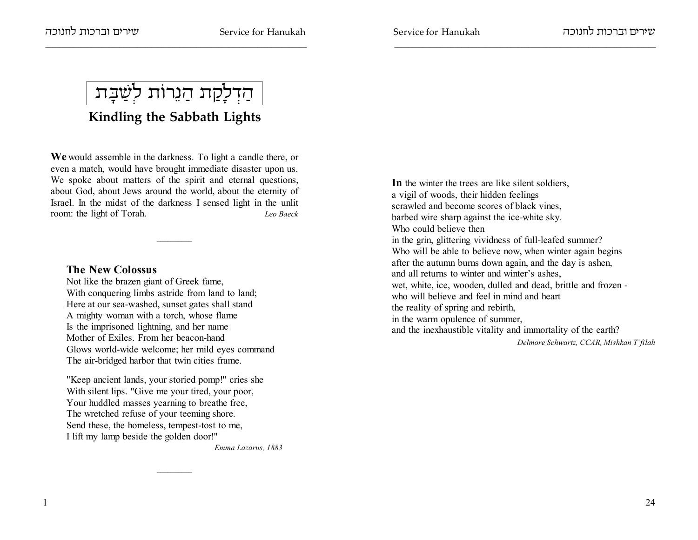$m$ שארים וברכות לחנוכה

# ֿהַדִּלַקַת הַנֵרוֹת לִשַּׁבָּת

#### **Kindling the Sabbath Lights**

**We** would assemble in the darkness. To light a candle there, or even a match, would have brought immediate disaster upon us. We spoke about matters of the spirit and eternal questions, about God, about Jews around the world, about the eternity of Israel. In the midst of the darkness I sensed light in the unlitroom: the light of Torah.*Leo Baeck*

#### **The New Colossus**

 Not like the brazen giant of Greek fame, With conquering limbs astride from land to land; Here at our sea-washed, sunset gates shall standA mighty woman with a torch, whose flameIs the imprisoned lightning, and her name Mother of Exiles. From her beacon-hand Glows world-wide welcome; her mild eyes commandThe air-bridged harbor that twin cities frame.

"Keep ancient lands, your storied pomp!" cries sheWith silent lips. "Give me your tired, your poor,Your huddled masses yearning to breathe free,The wretched refuse of your teeming shore. Send these, the homeless, tempest-tost to me,I lift my lamp beside the golden door!"

*Emma Lazarus, 1883*

In the winter the trees are like silent soldiers. a vigil of woods, their hidden feelings scrawled and become scores of black vines, barbed wire sharp against the ice-white sky.Who could believe then in the grin, glittering vividness of full-leafed summer? Who will be able to believe now, when winter again beginsafter the autumn burns down again, and the day is ashen,and all returns to winter and winter's ashes, wet, white, ice, wooden, dulled and dead, brittle and frozen who will believe and feel in mind and heartthe reality of spring and rebirth, in the warm opulence of summer, and the inexhaustible vitality and immortality of the earth?*Delmore Schwartz, CCAR, Mishkan T'filah*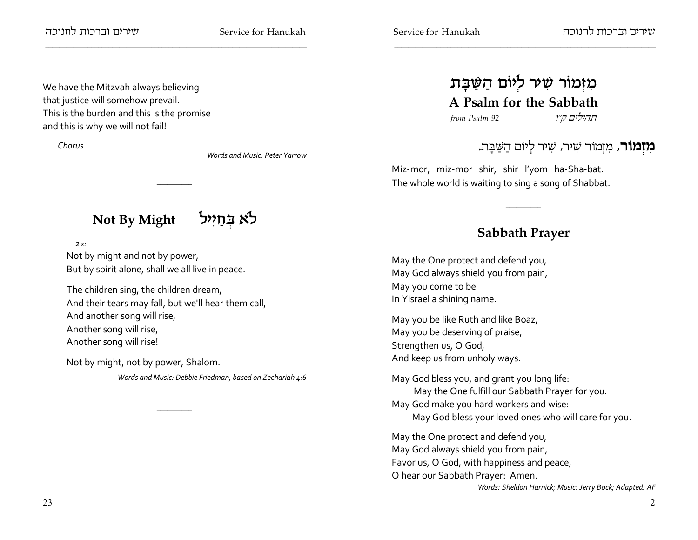#### $m$ שארים וברכות לחנוכה

Service for Hanukah

Service for Hanukah

 $v$ שירים ודרכות לחנוכה

We have the Mitzvah always believingthat justice will somehow prevail.This is the burden and this is the promiseand this is why we will not fail!

*Chorus*

*Words and Music: Peter Yarrow*

### **Not By Might li¦i ©g §A `Ÿl**

 *2x:*

Not by might and not by power,But by spirit alone, shall we all live in peace.

The children sing, the children dream,And their tears may fall, but we'll hear them call,And another song will rise,Another song will rise, Another song will rise!

Not by might, not by power, Shalom.

*Words and Music: Debbie Friedman, based on Zechariah 4:6*

### **<sup>z</sup> ¨A ©X ©d mFi§l xi ¦W xFn§f ¦nA Psalm for the Sabbath**

*from Psalm 92* 

תהילים ק״ו

### **מִזְמוֹר**ֹ, מִזְמוֹר שִׁיר*ּ, שִׁיר* לִיוֹם הַשֲׁבַּת.

Miz-mor, miz-mor shir, shir l'yom ha-Sha-bat.The whole world is waiting to sing a song of Shabbat.

#### **Sabbath Prayer**

May the One protect and defend you,May God always shield you from pain,May you come to beIn Yisrael a shining name.

May you be like Ruth and like Boaz,May you be deserving of praise,Strengthen us, O God,And keep us from unholy ways.

May God bless you, and grant you long life: May the One fulfill our Sabbath Prayer for you.May God make you hard workers and wise:May God bless your loved ones who will care for you.

May the One protect and defend you,May God always shield you from pain,Favor us, O God, with happiness and peace,O hear our Sabbath Prayer: Amen.

*Words: Sheldon Harnick; Music: Jerry Bock; Adapted: AF*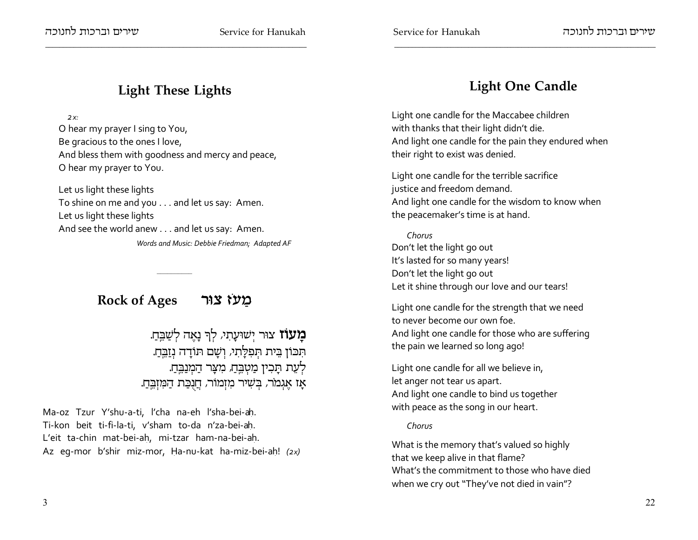### **Light These Lights**

 *2x:*

O hear my prayer I sing to You,Be gracious to the ones I love,And bless them with goodness and mercy and peace,O hear my prayer to You.

Let us light these lights To shine on me and you . . . and let us say: Amen.Let us light these lightsAnd see the world anew . . . and let us say: Amen.*Words and Music: Debbie Friedman; Adapted AF*

### **Rock of Ages xEv fŸr ©n**

**מְעוֹז** צוּר יְשׁוּעָתִי, לְךָ נָאָה לְשַׁבֵּחַ. הַכּוֹן בֵּית הְפִלָּתִי, וְשָׁם תּוֹדָה נְזַבְּרַ<mark>.</mark> לְעֵת תְּכִין מַטְבֵּחַ, מִצָּר הַמְנַבֵּחַ. אָז אֶגְמֹר, בְּשִׁיר מִזְמוֹר, דֲוֻּבַּת הַמִּזְבֵּהַ.

Ma-oz Tzur Y'shu-a-ti, l'cha na-eh l'sha-bei-ah.Ti-kon beit ti-fi-la-ti, v'sham to-da n'za-bei-ah.L'eit ta-chin mat-bei-ah, mi-tzar ham-na-bei-ah.Az eg-mor b'shir miz-mor, Ha-nu-kat ha-miz-bei-ah! *(2x)*

### **Light One Candle**

Light one candle for the Maccabee childrenwith thanks that their light didn't die.And light one candle for the pain they endured whentheir right to exist was denied.

Light one candle for the terrible sacrificejustice and freedom demand.And light one candle for the wisdom to know whenthe peacemaker's time is at hand.

*Chorus* Don't let the light go outIt's lasted for so many years!Don't let the light go outLet it shine through our love and our tears!

Light one candle for the strength that we needto never become our own foe.And light one candle for those who are sufferingthe pain we learned so long ago!

Light one candle for all we believe in,let anger not tear us apart.And light one candle to bind us togetherwith peace as the song in our heart.

#### *Chorus*

What is the memory that's valued so highlythat we keep alive in that flame? What's the commitment to those who have diedwhen we cry out "They've not died in vain"?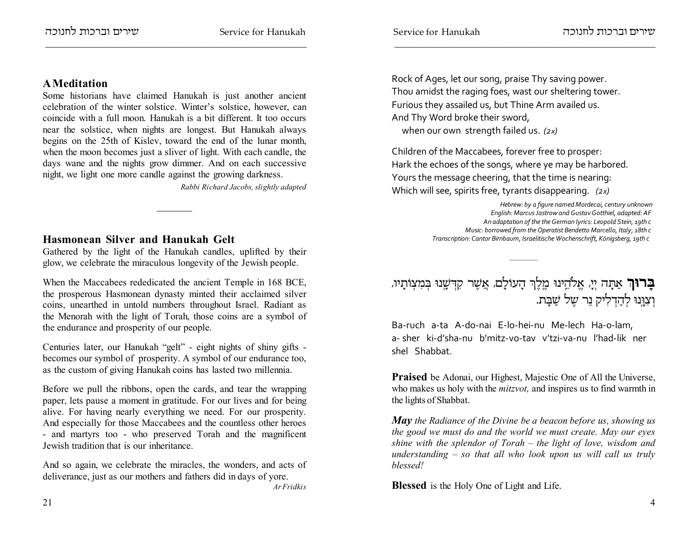#### **A Meditation**

 Some historians have claimed Hanukah is just another ancient celebration of the winter solstice. Winter's solstice, however, can coincide with a full moon. Hanukah is a bit different. It too occurs near the solstice, when nights are longest. But Hanukah always begins on the 25th of Kislev, toward the end of the lunar month, when the moon becomes just a sliver of light. With each candle, the days wane and the nights grow dimmer. And on each successivenight, we light one more candle against the growing darkness.

*Rabbi Richard Jacobs, slightly adapted*

#### **Hasmonean Silver and Hanukah Gelt**

 Gathered by the light of the Hanukah candles, uplifted by theirglow, we celebrate the miraculous longevity of the Jewish people.

When the Maccabees rededicated the ancient Temple in 168 BCE, the prosperous Hasmonean dynasty minted their acclaimed silver coins, unearthed in untold numbers throughout Israel. Radiant as the Menorah with the light of Torah, those coins are a symbol ofthe endurance and prosperity of our people.

Centuries later, our Hanukah "gelt" - eight nights of shiny gifts becomes our symbol of prosperity. A symbol of our endurance too,as the custom of giving Hanukah coins has lasted two millennia.

Before we pull the ribbons, open the cards, and tear the wrapping paper, lets pause a moment in gratitude. For our lives and for being alive. For having nearly everything we need. For our prosperity. And especially for those Maccabees and the countless other heroes - and martyrs too - who preserved Torah and the magnificentJewish tradition that is our inheritance.

And so again, we celebrate the miracles, the wonders, and acts ofdeliverance, just as our mothers and fathers did in days of yore.*Ar Fridkis*

Rock of Ages, let our song, praise Thy saving power. Thou amidst the raging foes, wast our sheltering tower.Furious they assailed us, but Thine Arm availed us.And Thy Word broke their sword,

when our own strength failed us. *(2x)*

Children of the Maccabees, forever free to prosper:Hark the echoes of the songs, where ye may be harbored.Yours the message cheering, that the time is nearing:Which will see, spirits free, tyrants disappearing. *(2x)*

> *Hebrew: by a figure named Mordecai, century unknown English: Marcus Jastrow and Gustav Gotthiel, adapted: AF An adaptation of the the German lyrics: Leopold Stein, 19th c Music: borrowed from the Operatist Bendetto Marcello, Italy, 18th cTranscription: Cantor Birnbaum, Israelitische Wochenschrift, Königsberg, 19th c*

## **בָרוּךְ** אַתָּה יְיָ, אֱלֹהֵינוּ כֵוְלֶךְ הָעוֹלָם, אֲשֶׁר קִדְּשָׁנוּ בְּמִצְוֹתָיו, וְצִוְּנוּ לְהַדְלִיק נֵר שֶל שַׁבָת.<br>'

Ba-ruch a-ta A-do-nai E-lo-hei-nu Me-lech Ha-o-lam,a- sher ki-d'sha-nu b'mitz-vo-tav v'tzi-va-nu l'had-lik nershel Shabbat.

**Praised** be Adonai, our Highest, Majestic One of All the Universe, who makes us holy with the *mitzvot,* and inspires us to find warmth inthe lights of Shabbat.

*May the Radiance of the Divine be a beacon before us, showing us the good we must do and the world we must create. May our eyes shine with the splendor of Torah – the light of love, wisdom and understanding – so that all who look upon us will call us trulyblessed!*

**Blessed** is the Holy One of Light and Life.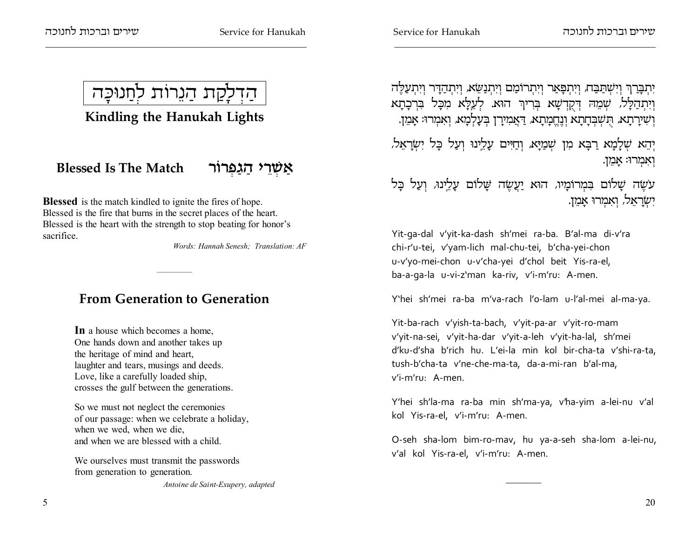# הַדְּכְקַת הַגְרוֹת לִחֲנוּכּה

Kindling the Hanukah Lights

#### **Blessed Is The Match** אשרי הגפרור

**Blessed** is the match kindled to ignite the fires of hope. Blessed is the fire that burns in the secret places of the heart. Blessed is the heart with the strength to stop beating for honor's sacrifice

Words: Hannah Senesh: Translation: AF

#### **From Generation to Generation**

In a house which becomes a home. One hands down and another takes up the heritage of mind and heart, laughter and tears, musings and deeds. Love, like a carefully loaded ship, crosses the gulf between the generations.

So we must not neglect the ceremonies of our passage: when we celebrate a holiday, when we wed, when we die, and when we are blessed with a child

We ourselves must transmit the passwords from generation to generation.

Antoine de Saint-Exupery, adapted

יִתְבָּרַךְ וְיִשְׁתַּבַּח, וְיִתְפָּאַר וְיִתְרוֹמַם וְיִתְנַשֵּׂא, וְיִתְהַדָּר וְיִתְעַלֶּה וְיִתְהַלָּל, שְׁמֵהּ דְקִדְשָׁא בְּרִיךְ הוּא. לְעֵלָּא מִכָּל בִּרְכָתָא וִשִׁירָתָא, תִשְׁבִּחָתָא וְנֵחֱמָתָא, דַאֲמִירָן בִּעָלְמָא, וְאִמְרוּ: אָמֵן. יְהֵא שְׁלַמָּא רַבָּא מִן שְׁמַיָּא, וְחַיִּים עַלֵינוּ וְעַל כַּל יְשְׂרָאֵל, וְאָמְרוּ: אֲמֵן.

עשֵׁה שָׁלוֹם בִּמְרוֹמַיוּ, הוּא יַעֲשֶׂה שָׁלוֹם עָלֵינוּ, וְעַל כָּל יִשְׂרַאֲל, וְאִמְרוּ אַמֵן.

Yit-ga-dal v'yit-ka-dash sh'mei ra-ba. B'al-ma di-v'ra chi-r'u-tei, v'yam-lich mal-chu-tei, b'cha-yei-chon u-v'yo-mei-chon u-v'cha-yei d'chol beit Yis-ra-el, ba-a-ga-la u-vi-z'man ka-riv, v'i-m'ru: A-men.

Y'hei sh'mei ra-ba m'va-rach l'o-lam u-l'al-mei al-ma-ya.

Yit-ba-rach v'yish-ta-bach, v'yit-pa-ar v'yit-ro-mam v'yit-na-sei, v'yit-ha-dar v'yit-a-leh v'yit-ha-lal, sh'mei d'ku-d'sha b'rich hu. L'ei-la min kol bir-cha-ta v'shi-ra-ta, tush-b'cha-ta v'ne-che-ma-ta, da-a-mi-ran b'al-ma, v'i-m'ru: A-men.

Y'hei sh'la-ma ra-ba min sh'ma-ya, v'ha-yim a-lei-nu v'al kol Yis-ra-el, v'i-m'ru: A-men.

O-seh sha-lom bim-ro-mav, hu ya-a-seh sha-lom a-lei-nu, v'al kol Yis-ra-el, v'i-m'ru: A-men.

5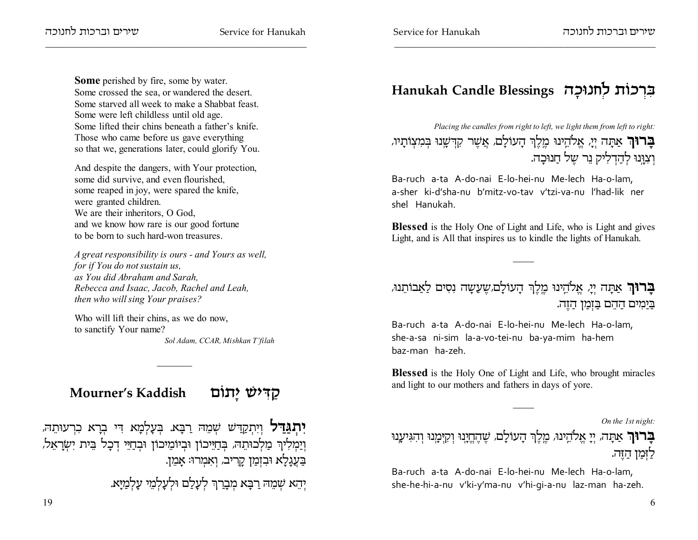**Some** perished by fire, some by water. Some crossed the sea, or wandered the desert. Some starved all week to make a Shabbat feast.Some were left childless until old age.Some lifted their chins beneath a father's knife.Those who came before us gave everythingso that we, generations later, could glorify You.

And despite the dangers, with Your protection,some did survive, and even flourished,some reaped in joy, were spared the knife,were granted children.We are their inheritors, O God, and we know how rare is our good fortuneto be born to such hard-won treasures.

*A great responsibility is ours - and Yours as well,for if You do not sustain us,as You did Abraham and Sarah,Rebecca and Isaac, Jacob, Rachel and Leah,then who will sing Your praises?*

Who will lift their chins, as we do now,to sanctify Your name?*Sol Adam, CCAR, Mishkan T'filah*

### **Mourner's Kaddish mFz¨i Wi ¦C ©w**

**יִתְגַדֵּל** וְיִתְקַדַּשׁ שְׁמֵהּ רַבָּא. בְּעָלְמָא דִּי בְרָא כִרְעוּתֵהּ, וְיַמְלִיךְ מַלְכוּתֵה, בְחַיֵּיכוֹן וּבְיוֹמֵיכוֹן וּבְחַיֵּי דְכָל בֵּית יִשְׂרָאֵל, בַּעֲנָלָא וּבִזְמַן קָרִיב, וְאָמִרוּ: אָמֶן.

יִהָא שְׁמֵה רַבַּא מִבְרַךְ לִעֲלַם וּלְעַלְמֵי עַלְמַיַּא.

# **Hanukah Candle Blessings d¨kEpg§l zFk §x ¦A**

*Placing the candles from right to left, we light them from left to right:***בָרוּךְ** אַתָּה יְיָ, אֱלֹהֵינוּ כֵוְלֶךְ הָעוֹלָם, אֲשֶׁר קִדְּשָׁנוּ בְּמִצְוֹתָיו, וְצִוְּנוּ לְהַדְלִיק נֵר שֶל חַנוּ<mark>כָה.</mark>

Ba-ruch a-ta A-do-nai E-lo-hei-nu Me-lech Ha-o-lam,a-sher ki-d'sha-nu b'mitz-vo-tav v'tzi-va-nu l'had-lik nershel Hanukah.

**Blessed** is the Holy One of Light and Life, who is Light and givesLight, and is All that inspires us to kindle the lights of Hanukah.

### **בְרוּךְ** אַתָה יְיָ, אֱלֹהֵינוּ מֶלֶךְ הָעוֹלָם*,*שֶעַשָה נִסִים לַאַבוֹתֵנוּ, בַּיַמִּים הַהֵם בַּזְמַן הַזֶה.

Ba-ruch a-ta A-do-nai E-lo-hei-nu Me-lech Ha-o-lam,she-a-sa ni-sim la-a-vo-tei-nu ba-ya-mim ha-hembaz-man ha-zeh.

**Blessed** is the Holy One of Light and Life, who brought miraclesand light to our mothers and fathers in days of yore.

*On the 1st night:*

ב**רוּךְ אַ**תָּה, יְיָ אֱלֹהֵינוּ, מֶלֶךְ הָעוֹלָם, שֶׁהֶחֱיָנוּ וְקִיּמְנוּ וְהִגִּיעָנוּ לַזְמַן הַזֶּה.

Ba-ruch a-ta A-do-nai E-lo-hei-nu Me-lech Ha-o-lam,she-he-hi-a-nu v'ki-y'ma-nu v'hi-gi-a-nu laz-man ha-zeh.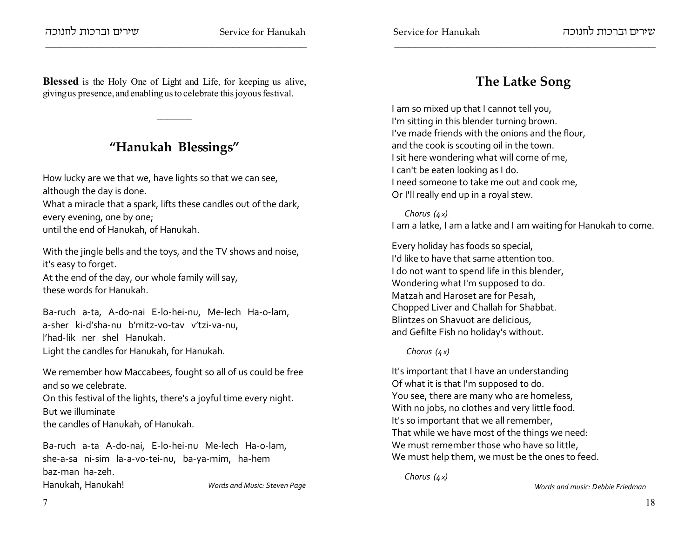**Blessed** is the Holy One of Light and Life, for keeping us alive,giving us presence, and enabling us to celebrate this joyous festival.

### **"Hanukah Blessings"**

How lucky are we that we, have lights so that we can see,although the day is done.What a miracle that a spark, lifts these candles out of the dark,every evening, one by one;until the end of Hanukah, of Hanukah.

With the jingle bells and the toys, and the TV shows and noise,it's easy to forget.At the end of the day, our whole family will say,these words for Hanukah.

Ba-ruch a-ta, A-do-nai E-lo-hei-nu, Me-lech Ha-o-lam,a-sher ki-d'sha-nu b'mitz-vo-tav v'tzi-va-nu,l'had-lik ner shel Hanukah.Light the candles for Hanukah, for Hanukah.

We remember how Maccabees, fought so all of us could be freeand so we celebrate.On this festival of the lights, there's a joyful time every night.But we illuminatethe candles of Hanukah, of Hanukah.

Ba-ruch a-ta A-do-nai, E-lo-hei-nu Me-lech Ha-o-lam,she-a-sa ni-sim la-a-vo-tei-nu, ba-ya-mim, ha-hembaz-man ha-zeh.Hanukah, Hanukah! *Words and Music: Steven Page*

### **The Latke Song**

I am so mixed up that I cannot tell you, I'm sitting in this blender turning brown. I've made friends with the onions and the flour, and the cook is scouting oil in the town.I sit here wondering what will come of me, I can't be eaten looking as I do. I need someone to take me out and cook me, Or I'll really end up in a royal stew.

*Chorus (4x)*I am a latke, I am a latke and I am waiting for Hanukah to come.

Every holiday has foods so special, I'd like to have that same attention too.I do not want to spend life in this blender, Wondering what I'm supposed to do.Matzah and Haroset are for Pesah, Chopped Liver and Challah for Shabbat.Blintzes on Shavuot are delicious, and Gefilte Fish no holiday's without.

#### *Chorus (4x)*

It's important that I have an understanding Of what it is that I'm supposed to do.You see, there are many who are homeless, With no jobs, no clothes and very little food.It's so important that we all remember, That while we have most of the things we need:We must remember those who have so little, We must help them, we must be the ones to feed.

*Chorus (4x)*

*Words and music: Debbie Friedman*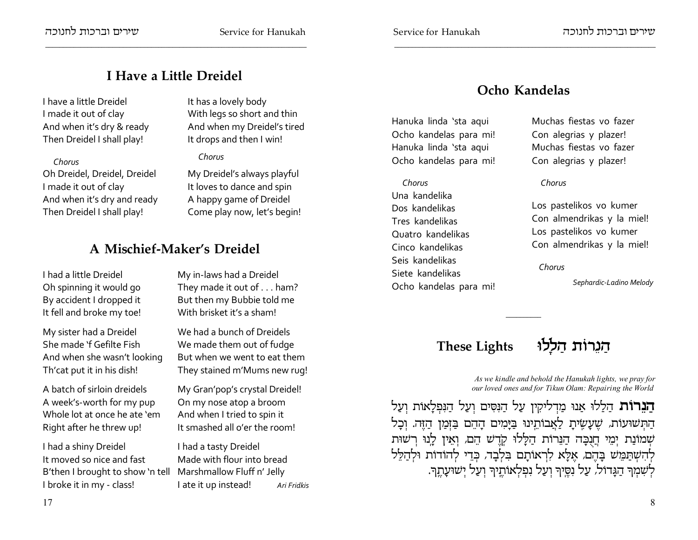### **I Have a Little Dreidel**

#### I have a little DreidelI made it out of clay And when it's dry & readyThen Dreidel I shall play!

#### *Chorus*

 Oh Dreidel, Dreidel, DreidelI made it out of clay And when it's dry and readyThen Dreidel I shall play!

It has a lovely body With legs so short and thin And when my Dreidel's tiredIt drops and then I win!

#### *Chorus*

My Dreidel's always playfulIt loves to dance and spin A happy game of Dreidel Come play now, let's begin!

### **A Mischief-Maker's Dreidel**

I had a little DreidelOh spinning it would go By accident I dropped itIt fell and broke my toe!

My sister had a DreidelShe made 'f Gefilte Fish And when she wasn't lookingTh'cat put it in his dish!

A batch of sirloin dreidels A week's-worth for my pup Whole lot at once he ate 'emRight after he threw up!

I had a shiny DreidelIt moved so nice and fast B'then I brought to show 'n tell Marshmallow Fluff n' JellyI broke it in my - class!

My in-laws had a DreidelThey made it out of . . . ham? But then my Bubbie told meWith brisket it's a sham!

We had a bunch of Dreidels We made them out of fudge But when we went to eat themThey stained m'Mums new rug!

My Gran'pop's crystal Dreidel!On my nose atop a broom And when I tried to spin itIt smashed all o'er the room!

I had a tasty DreidelMade with flour into breadAri Fridkis I ate it up instead!

### **Ocho Kandelas**

Hanuka linda 'sta aquiOcho kandelas para mi!Hanuka linda 'sta aquiOcho kandelas para mi!

 *Chorus* Una kandelika Dos kandelikasTres kandelikas Quatro kandelikasCinco kandelikasSeis kandelikasSiete kandelikasOcho kandelas para mi!

Muchas fiestas vo fazerCon alegrias y plazer!Muchas fiestas vo fazer

Con alegrias y plazer!

#### *Chorus*

Los pastelikos vo kumer Con almendrikas y la miel!Los pastelikos vo kumerCon almendrikas y la miel!

 *Chorus*

*Sephardic-Ladino Melody* 

## **These Light**

**הַנְרוֹת הַלְלוּ** 

*As we kindle and behold the Hanukah lights, we pray forour loved ones and for Tikun Olam: Repairing the World* 

**הַבִּרוֹת** הַלַלוּ אַנוּ מַדְליקִין עַל הַנִּסִּים וְעַל הַנִּפְלָאוֹת וְעַל הַתְּשׁוּעוֹת, שֶׁעָשִׂיתָ לַאֲבוֹתֵינוּ בַּיָּמִים הָהֵם בַּזְמַן הַזֶּה. וְכָל שְמוֹנַת יְמֵי חֲנִבָּה הַנֵּרוֹת הַלָּלוּ קְדֶש הֵם, וְאֵין לָנוּ רְשׁוּת לְהִשְׁתַּמֵּשׁ בָּהֶם, אָלָא לִרְאוּתָם בִּלְבָד, כְּדֵי לְהודוֹת וּלְהַלֵּל לשמר הגדול, על נסיר ועל נפלאותיר ועל ישועתר.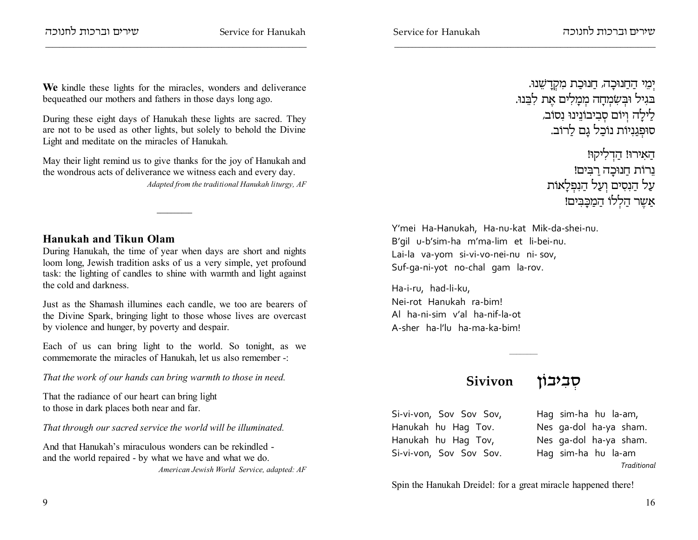**We** kindle these lights for the miracles, wonders and deliverancebequeathed our mothers and fathers in those days long ago.

During these eight days of Hanukah these lights are sacred. They are not to be used as other lights, but solely to behold the DivineLight and meditate on the miracles of Hanukah.

May their light remind us to give thanks for the joy of Hanukah andthe wondrous acts of deliverance we witness each and every day.*Adapted from the traditional Hanukah liturgy, AF*

#### **Hanukah and Tikun Olam**

 During Hanukah, the time of year when days are short and nights loom long, Jewish tradition asks of us a very simple, yet profound task: the lighting of candles to shine with warmth and light againstthe cold and darkness.

Just as the Shamash illumines each candle, we too are bearers of the Divine Spark, bringing light to those whose lives are overcastby violence and hunger, by poverty and despair.

Each of us can bring light to the world. So tonight, as wecommemorate the miracles of Hanukah, let us also remember -:

*That the work of our hands can bring warmth to those in need.*

That the radiance of our heart can bring lightto those in dark places both near and far.

*That through our sacred service the world will be illuminated.*

And that Hanukah's miraculous wonders can be rekindled and the world repaired - by what we have and what we do.*American Jewish World Service, adapted: AF*

יִמֵי הַחֲנוּכָה, חֲנוּכַת מִקְדַשֵׁנוּ. בגיל ובְשִמְחָה מְמָלִים אֵת לְבֵנוּ. לַילָה וְיוֹם סְבִיבוֹנֵינוּ נִסוֹב, סוּפְגַנִיוֹת נוֹכַל גָם לַרוֹב.

> הַאִירוּ! הַדִלִיקוּ! נרות חנוכה רבים!<br>. עַל הַנְסִים וִעַל הַנְפִלָאוֹת אַשֶר הַלְלוֹ הַמַּבְּבִּים!

Y'mei Ha-Hanukah, Ha-nu-kat Mik-da-shei-nu.B'gil u-b'sim-ha m'ma-lim et li-bei-nu.Lai-la va-yom si-vi-vo-nei-nu ni- sov,Suf-ga-ni-yot no-chal gam la-rov.

Ha-i-ru, had-li-ku,Nei-rot Hanukah ra-bim!Al ha-ni-sim v'al ha-nif-la-otA-sher ha-l'lu ha-ma-ka-bim!

### **Sivivon oFai ¦a §q**

Si-vi-von, Sov Sov Sov,Hanukah hu Hag Tov.Hanukah hu Hag Tov,Si-vi-von, Sov Sov Sov.

Hag sim-ha hu la-am,Nes ga-dol ha-ya sham.Nes ga-dol ha-ya sham.Hag sim-ha hu la-am*Traditional*

Spin the Hanukah Dreidel: for a great miracle happened there!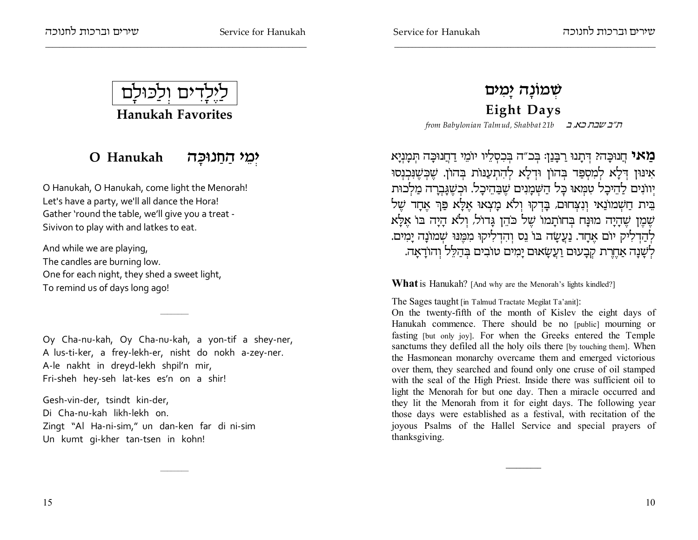# ־ים ולכּוּלם **Hanukah Favorites**

#### O Hanukah ימי החנוכה

O Hanukah, O Hanukah, come light the Menorah! Let's have a party, we'll all dance the Hora! Gather 'round the table, we'll give you a treat -Sivivon to play with and latkes to eat.

And while we are playing, The candles are burning low. One for each night, they shed a sweet light, To remind us of days long ago!

Oy Cha-nu-kah, Oy Cha-nu-kah, a yon-tif a shey-ner, A lus-ti-ker, a frey-lekh-er, nisht do nokh a-zey-ner. A-le nakht in dreyd-lekh shpil'n mir, Fri-sheh hey-seh lat-kes es'n on a shir!

Gesh-vin-der, tsindt kin-der, Di Cha-nu-kah likh-lekh on. Zingt "Al Ha-ni-sim," un dan-ken far di ni-sim Un kumt gi-kher tan-tsen in kohn!

# שָׁמוֹנָה יָמִים

#### **Eight Days**

from Babylonian Talmud, Shabbat 21b רג״ב שבת כא, ב

מַאי חֲנוּכַה? דְּתַנוּ רַבְּנָן: בְּכֹ״ה בְּכִסְלֵיו יוֹמֵי דַחֲנוּכַה תִּמַנְיַא אִינּוּן דְּלָא לְמִסְפַּד בְּהוֹן וּדְלָא לְהִתְעַנּוֹת בְּהוֹן. שֶׁבְשֶׁנִּבְנְסוּ יְווֹנִים לַהֵיכָל טִמְאוּ כָל הַשְׁמָנִים שֶׁבַּהֵיכָל. וּכְשֶׁנָּבְרָה מַלִכוּת בֵּית חַשְׁמוֹנַאי וְנִצְחוּם, בַּדְקוּ וְלֹא מֵצְאוּ אֵלֵּא פַּךְ אֲחֲד שֵׁל שֶׁמֶן שֶׁהָיָה מוּנָח בְחוֹתָמוֹ שֵׁל כֹהֵן גָּדוֹל, וְלֹא הָיָה בּוֹ אֵלָּא לְהַדְלִיק יוֹם אֲחָד. נַעֲשָׂה בּוֹ נֵס וְהִדְלִיקוּ מִמְּנוּ שִׁמוֹנָה יָמִים. לְשׁנה אַחרת קִבעוּם וַעֲשֵׂאוּם יַמִים טוֹבִים בִּהַלִּל וְהוֹדָאָה.

**What** is Hanukah? [And why are the Menorah's lights kindled?]

The Sages taught [in Talmud Tractate Megilat Ta'anit]:

On the twenty-fifth of the month of Kislev the eight days of Hanukah commence. There should be no [public] mourning or fasting [but only joy]. For when the Greeks entered the Temple sanctums they defiled all the holy oils there [by touching them]. When the Hasmonean monarchy overcame them and emerged victorious over them, they searched and found only one cruse of oil stamped with the seal of the High Priest. Inside there was sufficient oil to light the Menorah for but one day. Then a miracle occurred and they lit the Menorah from it for eight days. The following year those days were established as a festival, with recitation of the joyous Psalms of the Hallel Service and special prayers of thanksgiving.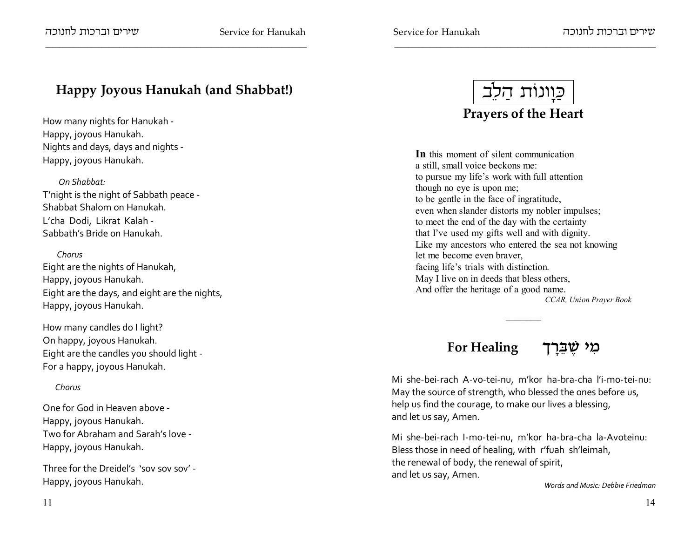### **Happy Joyous Hanukah (and Shabbat!)**

How many nights for Hanukah -Happy, joyous Hanukah. Nights and days, days and nights -Happy, joyous Hanukah.

 *On Shabbat:*T'night is the night of Sabbath peace -Shabbat Shalom on Hanukah.L'cha Dodi, Likrat Kalah -Sabbath's Bride on Hanukah.

#### *Chorus*

 Eight are the nights of Hanukah,Happy, joyous Hanukah.Eight are the days, and eight are the nights,Happy, joyous Hanukah.

How many candles do I light?On happy, joyous Hanukah.Eight are the candles you should light -For a happy, joyous Hanukah.

#### *Chorus*

One for God in Heaven above -Happy, joyous Hanukah.Two for Abraham and Sarah's love -Happy, joyous Hanukah.

Three for the Dreidel's 'sov sov sov' -Happy, joyous Hanukah.



#### **Prayers of the Heart**

**In** this moment of silent communicationa still, small voice beckons me: to pursue my life's work with full attentionthough no eye is upon me; to be gentle in the face of ingratitude, even when slander distorts my nobler impulses;to meet the end of the day with the certainty that I've used my gifts well and with dignity. Like my ancestors who entered the sea not knowinglet me become even braver,facing life's trials with distinction. May I live on in deeds that bless others,And offer the heritage of a good name.*CCAR, Union Prayer Book*

### **For Healing j ¨x ¥A ¤W i ¦n**

Mi she-bei-rach A-vo-tei-nu, m'kor ha-bra-cha l'i-mo-tei-nu:May the source of strength, who blessed the ones before us, help us find the courage, to make our lives a blessing, and let us say, Amen.

Mi she-bei-rach I-mo-tei-nu, m'kor ha-bra-cha la-Avoteinu: Bless those in need of healing, with r'fuah sh'leimah, the renewal of body, the renewal of spirit,and let us say, Amen.

*Words and Music: Debbie Friedman*